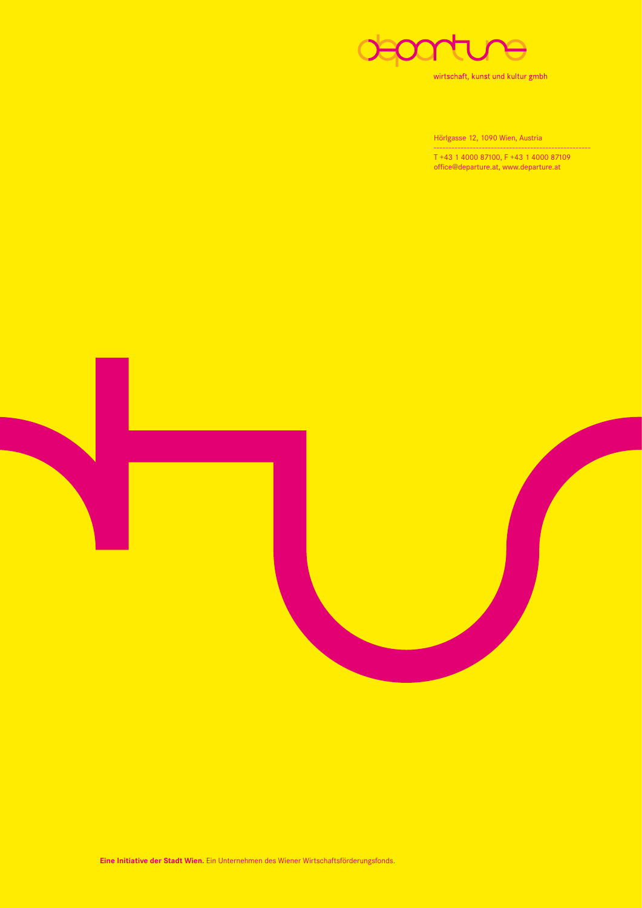

wirtschaft, kunst und kultur gmbh

Hörlgasse 12, 1090 Wien, Austria

 T +43 1 4000 87100, F +43 1 4000 87109 office@departure.at, www.departure.at

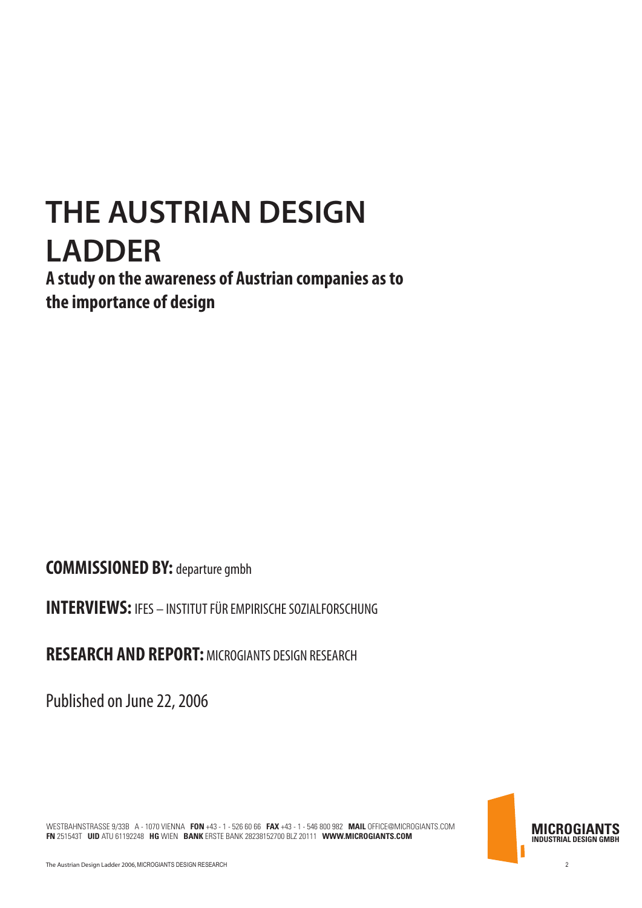## **THE AUSTRIAN DESIGN LADDER**

**A study on the awareness of Austrian companies as to the importance of design**

**COMMISSIONED BY:** departure gmbh

**INTERVIEWS:** IFES – INSTITUT FÜR EMPIRISCHE SOZIALFORSCHUNG

**RESEARCH AND REPORT:** MICROGIANTS DESIGN RESEARCH

Published on June 22, 2006

**MICROGIANTS INDUSTRIAL DESIGN GMBH**

WESTBAHNSTRASSE 9/33B A - 1070 VIENNA **FON** +43 - 1 - 526 60 66 **FAX** +43 - 1 - 546 800 982 **MAIL** OFFICE@MICROGIANTS.COM **FN** 251543T **UID** ATU 61192248 **HG** WIEN **BANK** ERSTE BANK 28238152700 BLZ 20111 **WWW.MICROGIANTS.COM**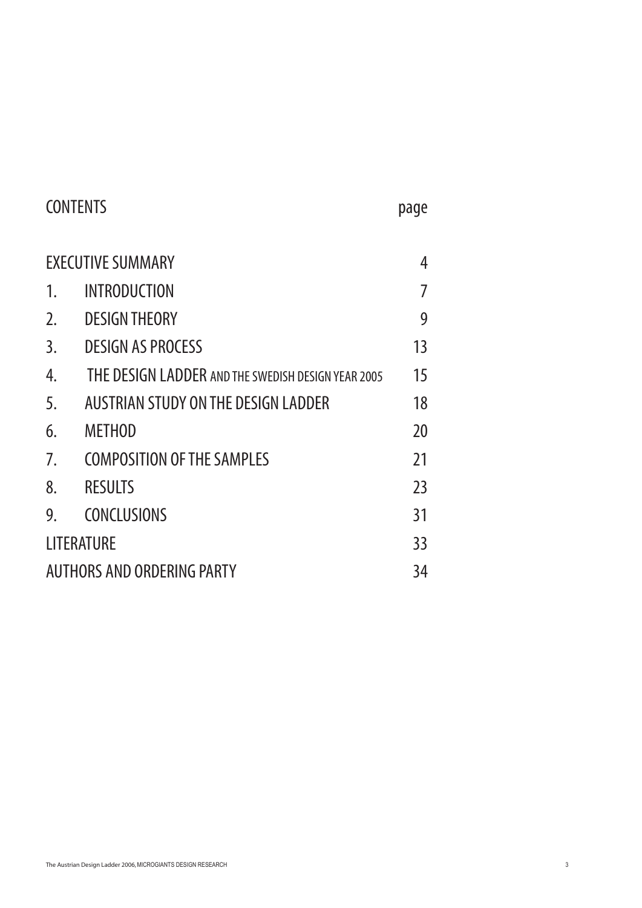| <b>CONTENTS</b>                   |                                                    |    |  |
|-----------------------------------|----------------------------------------------------|----|--|
| <b>EXECUTIVE SUMMARY</b>          |                                                    |    |  |
| 1.                                | <b>INTRODUCTION</b>                                |    |  |
| 2.                                | <b>DESIGN THEORY</b>                               | 9  |  |
| 3.                                | <b>DESIGN AS PROCESS</b>                           | 13 |  |
| 4.                                | THE DESIGN LADDER AND THE SWEDISH DESIGN YEAR 2005 | 15 |  |
| 5.                                | AUSTRIAN STUDY ON THE DESIGN LADDER                | 18 |  |
| 6.                                | <b>METHOD</b>                                      | 20 |  |
| 7.                                | <b>COMPOSITION OF THE SAMPLES</b>                  | 21 |  |
| 8.                                | <b>RESULTS</b>                                     | 23 |  |
| 9.                                | <b>CONCLUSIONS</b>                                 | 31 |  |
| LITERATURE                        |                                                    |    |  |
| <b>AUTHORS AND ORDERING PARTY</b> |                                                    |    |  |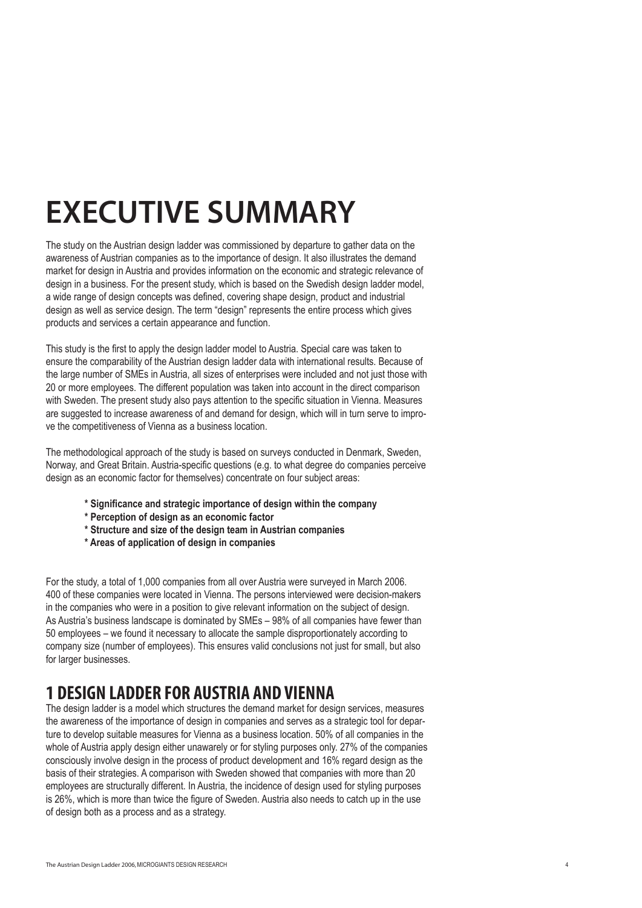## **EXECUTIVE SUMMARY**

The study on the Austrian design ladder was commissioned by departure to gather data on the awareness of Austrian companies as to the importance of design. It also illustrates the demand market for design in Austria and provides information on the economic and strategic relevance of design in a business. For the present study, which is based on the Swedish design ladder model, a wide range of design concepts was defined, covering shape design, product and industrial design as well as service design. The term "design" represents the entire process which gives products and services a certain appearance and function.

This study is the first to apply the design ladder model to Austria. Special care was taken to ensure the comparability of the Austrian design ladder data with international results. Because of the large number of SMEs in Austria, all sizes of enterprises were included and not just those with 20 or more employees. The different population was taken into account in the direct comparison with Sweden. The present study also pays attention to the specific situation in Vienna. Measures are suggested to increase awareness of and demand for design, which will in turn serve to improve the competitiveness of Vienna as a business location.

The methodological approach of the study is based on surveys conducted in Denmark, Sweden, Norway, and Great Britain. Austria-specific questions (e.g. to what degree do companies perceive design as an economic factor for themselves) concentrate on four subject areas:

- **\* Significance and strategic importance of design within the company**
- **\* Perception of design as an economic factor**
- **\* Structure and size of the design team in Austrian companies**
- **\* Areas of application of design in companies**

For the study, a total of 1,000 companies from all over Austria were surveyed in March 2006. 400 of these companies were located in Vienna. The persons interviewed were decision-makers in the companies who were in a position to give relevant information on the subject of design. As Austria's business landscape is dominated by SMEs – 98% of all companies have fewer than 50 employees – we found it necessary to allocate the sample disproportionately according to company size (number of employees). This ensures valid conclusions not just for small, but also for larger businesses.

## **1 DESIGN LADDER FOR AUSTRIA AND VIENNA**

The design ladder is a model which structures the demand market for design services, measures the awareness of the importance of design in companies and serves as a strategic tool for departure to develop suitable measures for Vienna as a business location. 50% of all companies in the whole of Austria apply design either unawarely or for styling purposes only. 27% of the companies consciously involve design in the process of product development and 16% regard design as the basis of their strategies. A comparison with Sweden showed that companies with more than 20 employees are structurally different. In Austria, the incidence of design used for styling purposes is 26%, which is more than twice the figure of Sweden. Austria also needs to catch up in the use of design both as a process and as a strategy.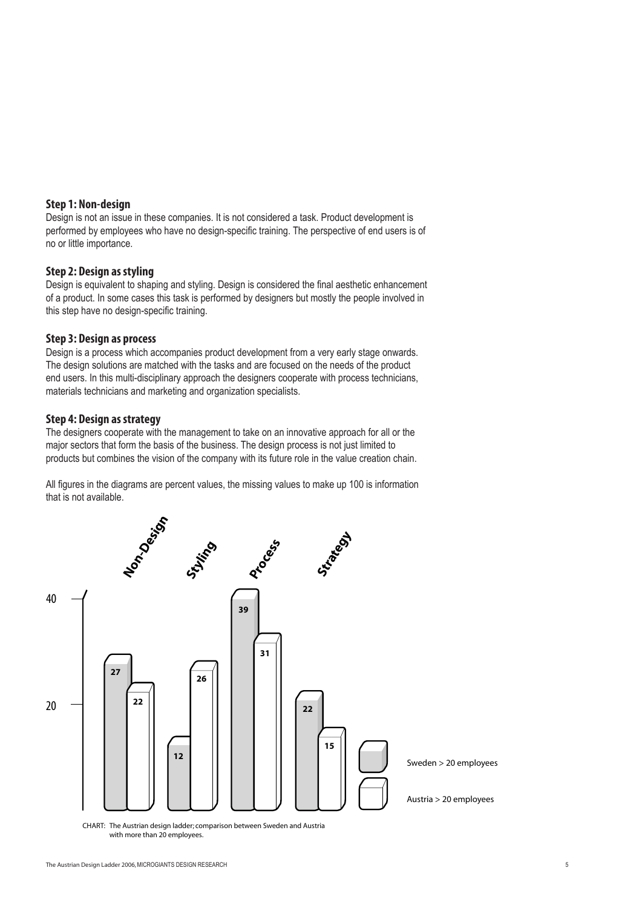#### **Step 1: Non-design**

Design is not an issue in these companies. It is not considered a task. Product development is performed by employees who have no design-specific training. The perspective of end users is of no or little importance.

#### **Step 2: Design as styling**

Design is equivalent to shaping and styling. Design is considered the final aesthetic enhancement of a product. In some cases this task is performed by designers but mostly the people involved in this step have no design-specific training.

#### **Step 3: Design as process**

Design is a process which accompanies product development from a very early stage onwards. The design solutions are matched with the tasks and are focused on the needs of the product end users. In this multi-disciplinary approach the designers cooperate with process technicians, materials technicians and marketing and organization specialists.

#### **Step 4: Design as strategy**

The designers cooperate with the management to take on an innovative approach for all or the major sectors that form the basis of the business. The design process is not just limited to products but combines the vision of the company with its future role in the value creation chain.

All figures in the diagrams are percent values, the missing values to make up 100 is information that is not available.



with more than 20 employees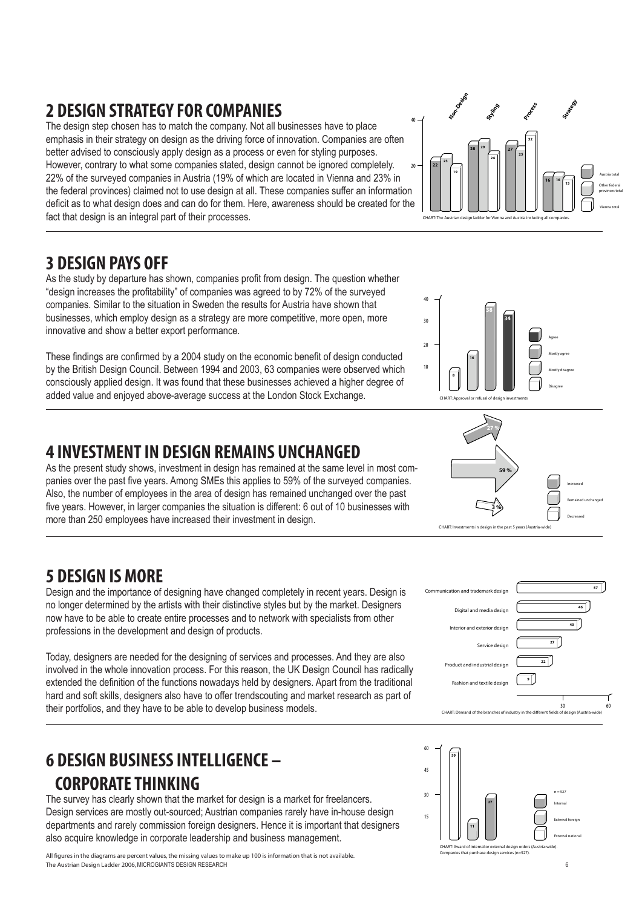## **2 DESIGN STRATEGY FOR COMPANIES**

The design step chosen has to match the company. Not all businesses have to place emphasis in their strategy on design as the driving force of innovation. Companies are often better advised to consciously apply design as a process or even for styling purposes. However, contrary to what some companies stated, design cannot be ignored completely. 22% of the surveyed companies in Austria (19% of which are located in Vienna and 23% in the federal provinces) claimed not to use design at all. These companies suffer an information deficit as to what design does and can do for them. Here, awareness should be created for the fact that design is an integral part of their processes.  $\overline{20}$ 40

### **3 DESIGN PAYS OFF**

As the study by departure has shown, companies profit from design. The question whether "design increases the profitability" of companies was agreed to by 72% of the surveyed companies. Similar to the situation in Sweden the results for Austria have shown that businesses, which employ design as a strategy are more competitive, more open, more innovative and show a better export performance.

These findings are confirmed by a 2004 study on the economic benefit of design conducted by the British Design Council. Between 1994 and 2003, 63 companies were observed which consciously applied design. It was found that these businesses achieved a higher degree of added value and enjoyed above-average success at the London Stock Exchange.

#### **4 INVESTMENT IN DESIGN REMAINS UNCHANGED**

As the present study shows, investment in design has remained at the same level in most companies over the past five years. Among SMEs this applies to 59% of the surveyed companies. Also, the number of employees in the area of design has remained unchanged over the past five years. However, in larger companies the situation is different: 6 out of 10 businesses with more than 250 employees have increased their investment in design.

### **5 DESIGN IS MORE**

Design and the importance of designing have changed completely in recent years. Design is no longer determined by the artists with their distinctive styles but by the market. Designers now have to be able to create entire processes and to network with specialists from other professions in the development and design of products.

Today, designers are needed for the designing of services and processes. And they are also involved in the whole innovation process. For this reason, the UK Design Council has radically extended the definition of the functions nowadays held by designers. Apart from the traditional hard and soft skills, designers also have to offer trendscouting and market research as part of their portfolios, and they have to be able to develop business models.

## **6 DESIGN BUSINESS INTELLIGENCE – CORPORATE THINKING**

The survey has clearly shown that the market for design is a market for freelancers. Design services are mostly out-sourced; Austrian companies rarely have in-house design departments and rarely commission foreign designers. Hence it is important that designers also acquire knowledge in corporate leadership and business management.

The Austrian Design Ladder 2006,MICROGIANTS DESIGN RESEARCH 6 All figures in the diagrams are percent values, the missing values to make up 100 is information that is not available.









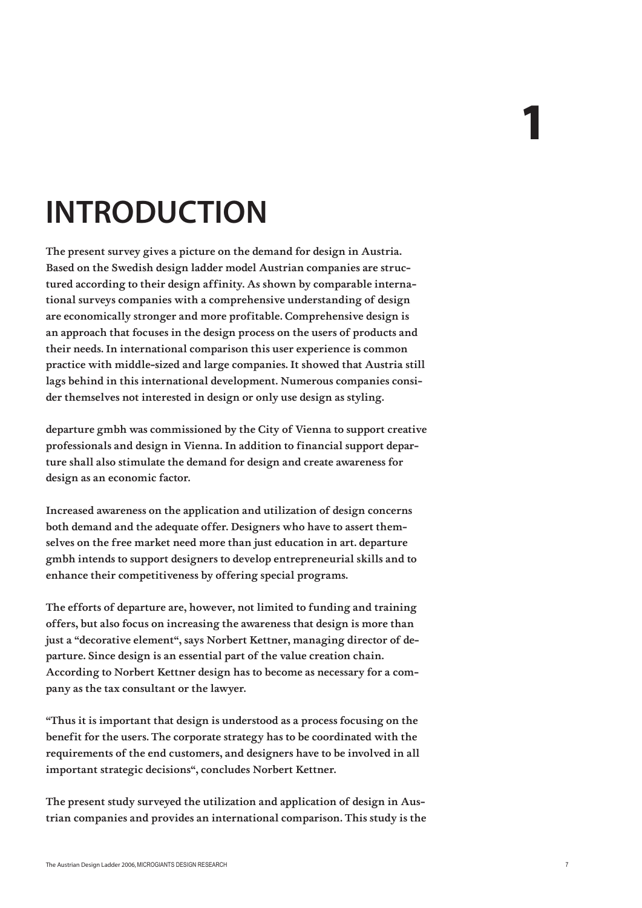## **INTRODUCTION**

The present survey gives a picture on the demand for design in Austria. Based on the Swedish design ladder model Austrian companies are structured according to their design affinity. As shown by comparable international surveys companies with a comprehensive understanding of design are economically stronger and more profitable. Comprehensive design is an approach that focuses in the design process on the users of products and their needs. In international comparison this user experience is common practice with middle-sized and large companies. It showed that Austria still lags behind in this international development. Numerous companies consider themselves not interested in design or only use design as styling.

departure gmbh was commissioned by the City of Vienna to support creative professionals and design in Vienna. In addition to financial support departure shall also stimulate the demand for design and create awareness for design as an economic factor.

Increased awareness on the application and utilization of design concerns both demand and the adequate offer. Designers who have to assert themselves on the free market need more than just education in art. departure gmbh intends to support designers to develop entrepreneurial skills and to enhance their competitiveness by offering special programs.

The efforts of departure are, however, not limited to funding and training offers, but also focus on increasing the awareness that design is more than just a "decorative element", says Norbert Kettner, managing director of departure. Since design is an essential part of the value creation chain. According to Norbert Kettner design has to become as necessary for a company as the tax consultant or the lawyer.

"Thus it is important that design is understood as a process focusing on the benefit for the users. The corporate strategy has to be coordinated with the requirements of the end customers, and designers have to be involved in all important strategic decisions", concludes Norbert Kettner.

The present study surveyed the utilization and application of design in Austrian companies and provides an international comparison. This study is the 1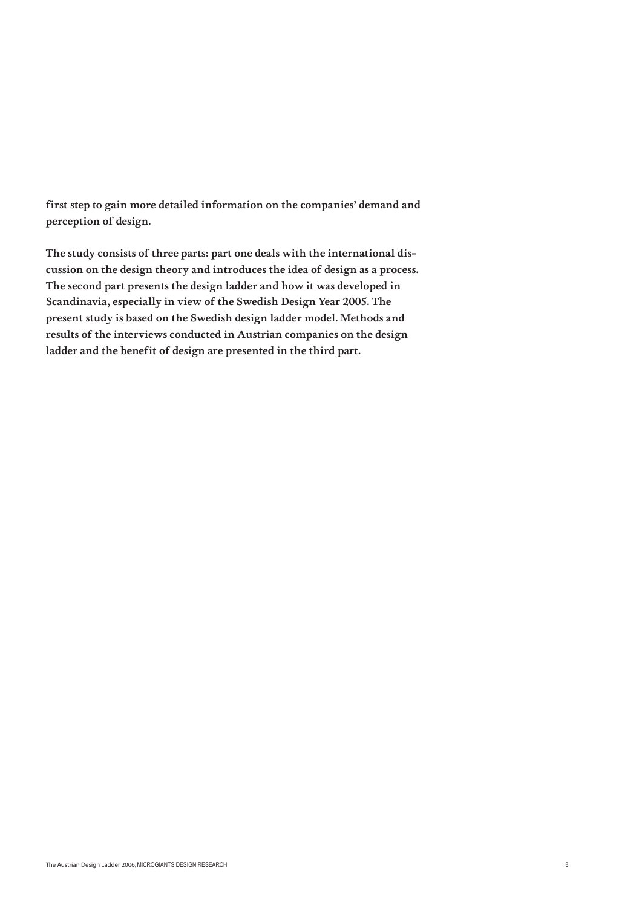first step to gain more detailed information on the companies' demand and perception of design.

The study consists of three parts: part one deals with the international discussion on the design theory and introduces the idea of design as a process. The second part presents the design ladder and how it was developed in Scandinavia, especially in view of the Swedish Design Year 2005. The present study is based on the Swedish design ladder model. Methods and results of the interviews conducted in Austrian companies on the design ladder and the benefit of design are presented in the third part.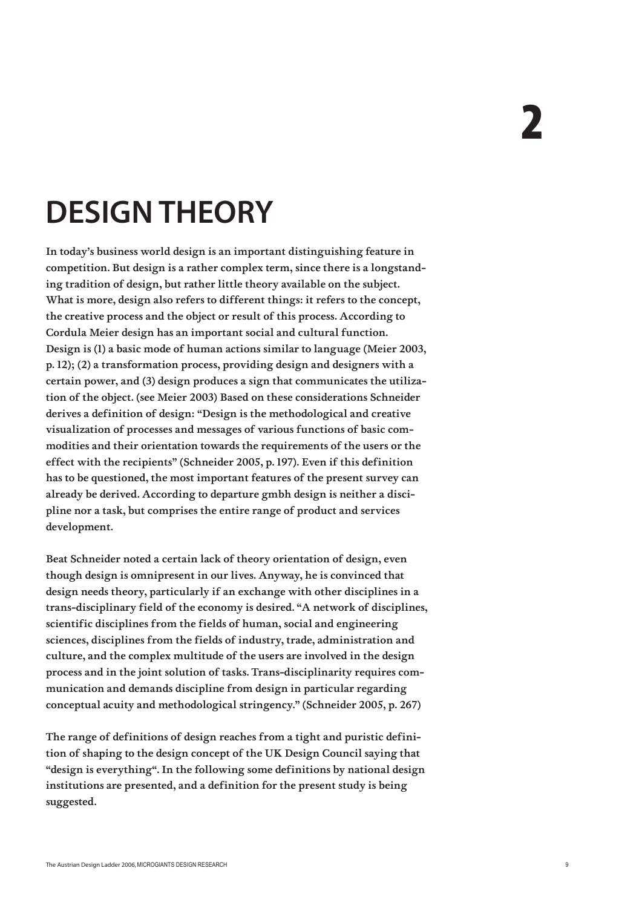## **DESIGN THEORY**

In today's business world design is an important distinguishing feature in competition. But design is a rather complex term, since there is a longstanding tradition of design, but rather little theory available on the subject. What is more, design also refers to different things: it refers to the concept, the creative process and the object or result of this process. According to Cordula Meier design has an important social and cultural function. Design is (1) a basic mode of human actions similar to language (Meier 2003, p. 12); (2) a transformation process, providing design and designers with a certain power, and (3) design produces a sign that communicates the utilization of the object. (see Meier 2003) Based on these considerations Schneider derives a definition of design: "Design is the methodological and creative visualization of processes and messages of various functions of basic commodities and their orientation towards the requirements of the users or the effect with the recipients" (Schneider 2005, p. 197). Even if this definition has to be questioned, the most important features of the present survey can already be derived. According to departure gmbh design is neither a discipline nor a task, but comprises the entire range of product and services development.

Beat Schneider noted a certain lack of theory orientation of design, even though design is omnipresent in our lives. Anyway, he is convinced that design needs theory, particularly if an exchange with other disciplines in a trans-disciplinary field of the economy is desired. "A network of disciplines, scientific disciplines from the fields of human, social and engineering sciences, disciplines from the fields of industry, trade, administration and culture, and the complex multitude of the users are involved in the design process and in the joint solution of tasks. Trans-disciplinarity requires communication and demands discipline from design in particular regarding conceptual acuity and methodological stringency." (Schneider 2005, p. 267)

The range of definitions of design reaches from a tight and puristic definition of shaping to the design concept of the UK Design Council saying that "design is everything". In the following some definitions by national design institutions are presented, and a definition for the present study is being suggested.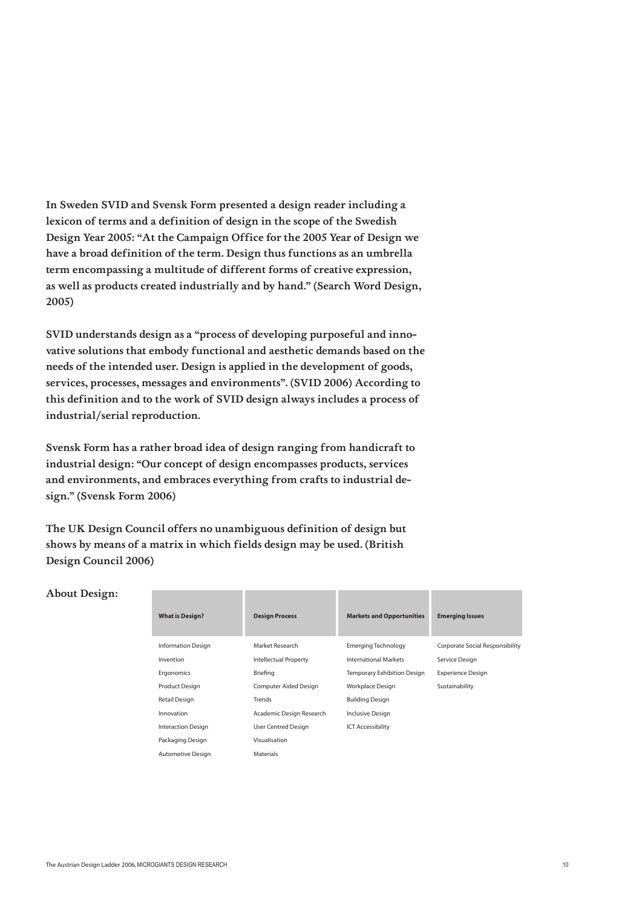In Sweden SVID and Svensk Form presented a design reader including a lexicon of terms and a definition of design in the scope of the Swedish Design Year 2005: "At the Campaign Office for the 2005 Year of Design we have a broad definition of the term. Design thus functions as an umbrella term encompassing a multitude of different forms of creative expression, as well as products created industrially and by hand." (Search Word Design, 2005)

SVID understands design as a "process of developing purposeful and innovative solutions that embody functional and aesthetic demands based on the needs of the intended user. Design is applied in the development of goods, services, processes, messages and environments". (SVID 2006) According to this definition and to the work of SVID design always includes a process of industrial/serial reproduction.

Svensk Form has a rather broad idea of design ranging from handicraft to industrial design: "Our concept of design encompasses products, services and environments, and embraces everything from crafts to industrial design." (Svensk Form 2006)

The UK Design Council offers no unambiguous definition of design but shows by means of a matrix in which fields design may be used. (British Design Council 2006)

|  | <b>About Design:</b> |
|--|----------------------|
|--|----------------------|

| <b>What is Design?</b>    | <b>Design Process</b>        | <b>Markets and Opportunities</b>   | <b>Emerging Issues</b>          |
|---------------------------|------------------------------|------------------------------------|---------------------------------|
| <b>Information Design</b> | Market Research              | Emerging Technology                | Corporate Social Responsibility |
| Invention                 | <b>Intellectual Property</b> | <b>International Markets</b>       | Service Design                  |
| Ergonomics                | Briefing                     | <b>Temporary Exhibition Design</b> | <b>Experience Design</b>        |
| Product Design            | Computer Aided Design        | Workplace Design                   | Sustainability                  |
| Retail Design             | Trends                       | <b>Building Design</b>             |                                 |
| Innovation                | Academic Design Research     | Inclusive Design                   |                                 |
| <b>Interaction Design</b> | User Centred Design          | <b>ICT Accessibility</b>           |                                 |
| Packaging Design          | Visualisation                |                                    |                                 |
| Automotive Design         | <b>Materials</b>             |                                    |                                 |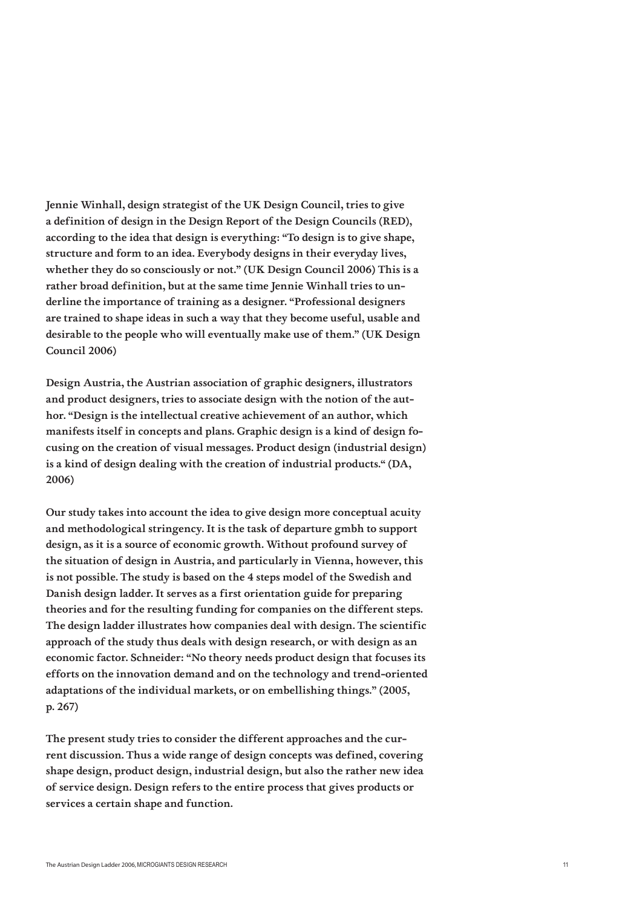Jennie Winhall, design strategist of the UK Design Council, tries to give a definition of design in the Design Report of the Design Councils (RED), according to the idea that design is everything: "To design is to give shape, structure and form to an idea. Everybody designs in their everyday lives, whether they do so consciously or not." (UK Design Council 2006) This is a rather broad definition, but at the same time Jennie Winhall tries to underline the importance of training as a designer. "Professional designers are trained to shape ideas in such a way that they become useful, usable and desirable to the people who will eventually make use of them." (UK Design Council 2006)

Design Austria, the Austrian association of graphic designers, illustrators and product designers, tries to associate design with the notion of the author. "Design is the intellectual creative achievement of an author, which manifests itself in concepts and plans. Graphic design is a kind of design focusing on the creation of visual messages. Product design (industrial design) is a kind of design dealing with the creation of industrial products." (DA, 2006)

Our study takes into account the idea to give design more conceptual acuity and methodological stringency. It is the task of departure gmbh to support design, as it is a source of economic growth. Without profound survey of the situation of design in Austria, and particularly in Vienna, however, this is not possible. The study is based on the 4 steps model of the Swedish and Danish design ladder. It serves as a first orientation guide for preparing theories and for the resulting funding for companies on the different steps. The design ladder illustrates how companies deal with design. The scientific approach of the study thus deals with design research, or with design as an economic factor. Schneider: "No theory needs product design that focuses its efforts on the innovation demand and on the technology and trend-oriented adaptations of the individual markets, or on embellishing things." (2005, p. 267)

The present study tries to consider the different approaches and the current discussion. Thus a wide range of design concepts was defined, covering shape design, product design, industrial design, but also the rather new idea of service design. Design refers to the entire process that gives products or services a certain shape and function.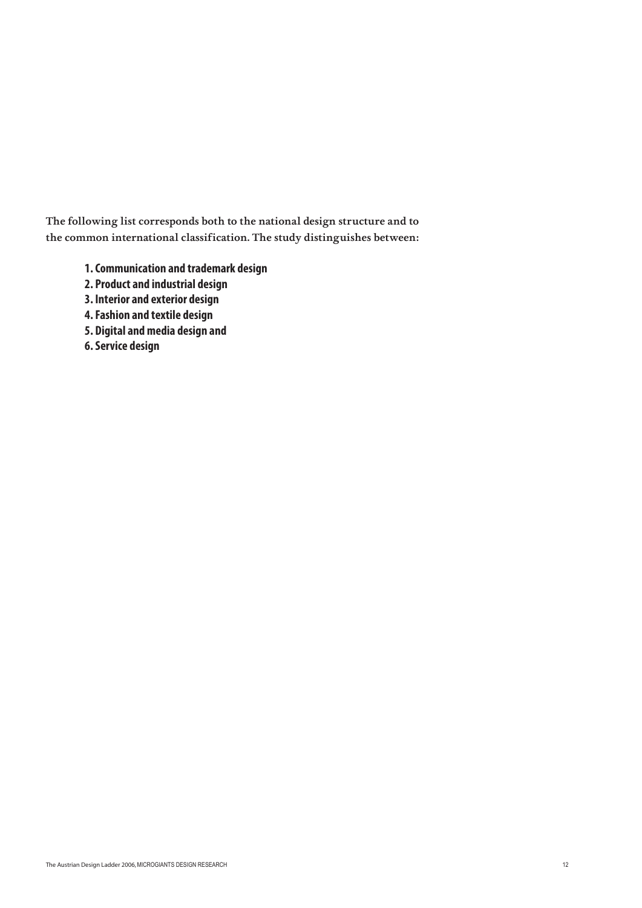The following list corresponds both to the national design structure and to the common international classification. The study distinguishes between:

- **1. Communication and trademark design**
- **2. Product and industrial design**
- **3. Interior and exterior design**
- **4. Fashion and textile design**
- **5. Digital and media design and**
- **6. Service design**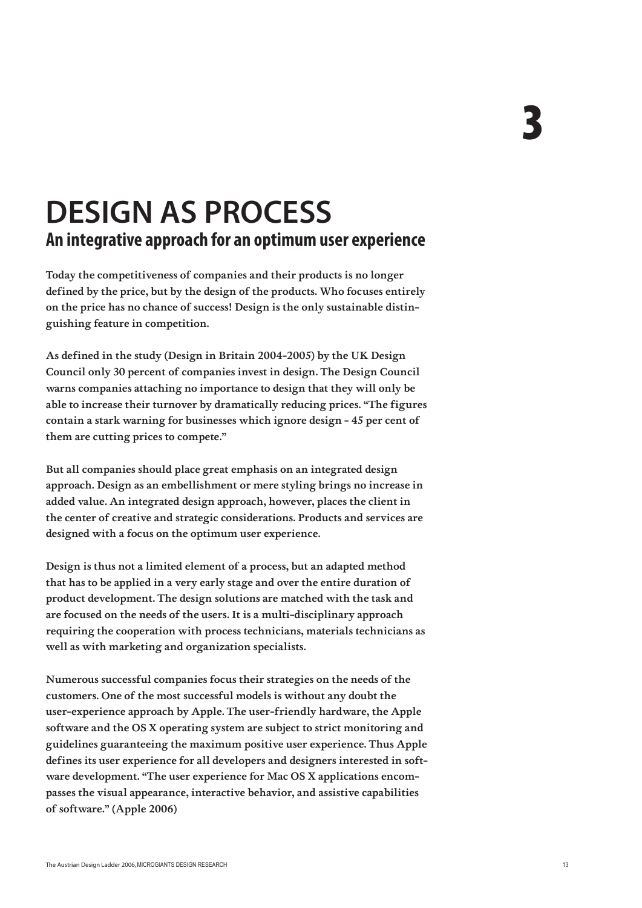## **DESIGN AS PROCESS An integrative approach for an optimum user experience**

Today the competitiveness of companies and their products is no longer defined by the price, but by the design of the products. Who focuses entirely on the price has no chance of success! Design is the only sustainable distinguishing feature in competition.

As defined in the study (Design in Britain 2004-2005) by the UK Design Council only 30 percent of companies invest in design. The Design Council warns companies attaching no importance to design that they will only be able to increase their turnover by dramatically reducing prices. "The figures contain a stark warning for businesses which ignore design - 45 per cent of them are cutting prices to compete."

But all companies should place great emphasis on an integrated design approach. Design as an embellishment or mere styling brings no increase in added value. An integrated design approach, however, places the client in the center of creative and strategic considerations. Products and services are designed with a focus on the optimum user experience.

Design is thus not a limited element of a process, but an adapted method that has to be applied in a very early stage and over the entire duration of product development. The design solutions are matched with the task and are focused on the needs of the users. It is a multi-disciplinary approach requiring the cooperation with process technicians, materials technicians as well as with marketing and organization specialists.

Numerous successful companies focus their strategies on the needs of the customers. One of the most successful models is without any doubt the user-experience approach by Apple. The user-friendly hardware, the Apple software and the OS X operating system are subject to strict monitoring and guidelines guaranteeing the maximum positive user experience. Thus Apple defines its user experience for all developers and designers interested in software development. "The user experience for Mac OS X applications encompasses the visual appearance, interactive behavior, and assistive capabilities of software." (Apple 2006)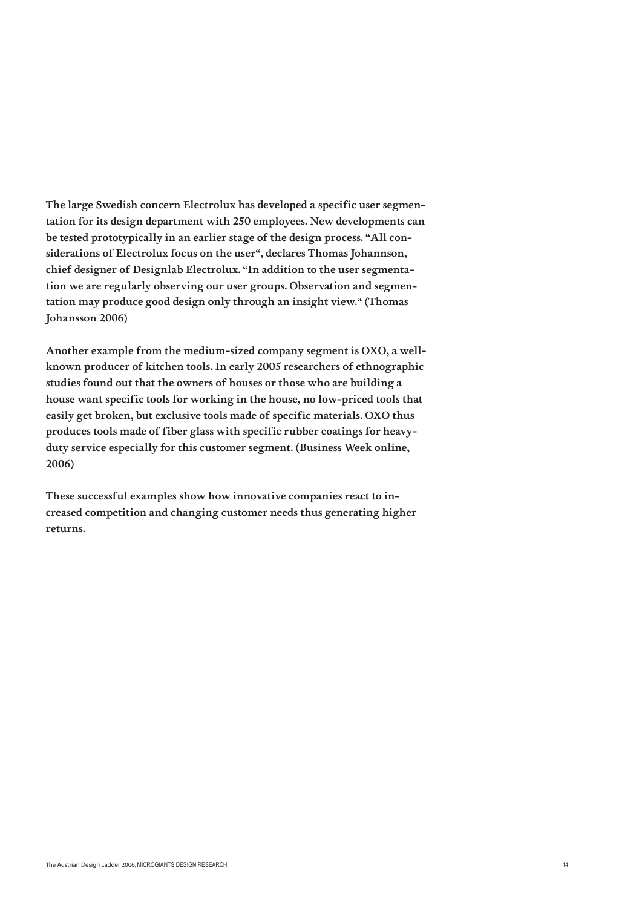The large Swedish concern Electrolux has developed a specific user segmentation for its design department with 250 employees. New developments can be tested prototypically in an earlier stage of the design process. "All considerations of Electrolux focus on the user", declares Thomas Johannson, chief designer of Designlab Electrolux. "In addition to the user segmentation we are regularly observing our user groups. Observation and segmentation may produce good design only through an insight view." (Thomas Johansson 2006)

Another example from the medium-sized company segment is OXO, a wellknown producer of kitchen tools. In early 2005 researchers of ethnographic studies found out that the owners of houses or those who are building a house want specific tools for working in the house, no low-priced tools that easily get broken, but exclusive tools made of specific materials. OXO thus produces tools made of fiber glass with specific rubber coatings for heavyduty service especially for this customer segment. (Business Week online, 2006)

These successful examples show how innovative companies react to increased competition and changing customer needs thus generating higher returns.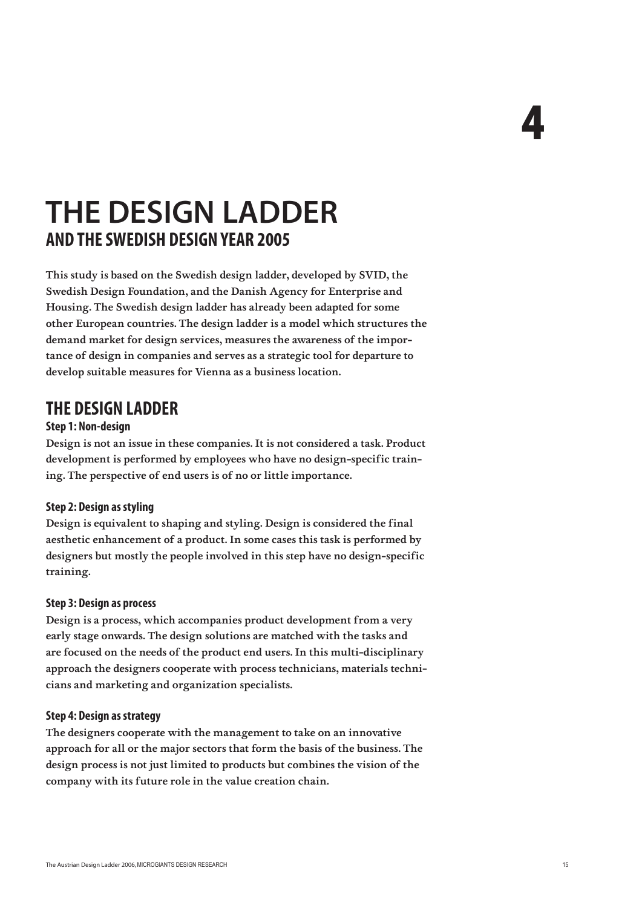## **THE DESIGN LADDER AND THE SWEDISH DESIGN YEAR 2005**

This study is based on the Swedish design ladder, developed by SVID, the Swedish Design Foundation, and the Danish Agency for Enterprise and Housing. The Swedish design ladder has already been adapted for some other European countries. The design ladder is a model which structures the demand market for design services, measures the awareness of the importance of design in companies and serves as a strategic tool for departure to develop suitable measures for Vienna as a business location.

### **THE DESIGN LADDER**

#### **Step 1: Non-design**

Design is not an issue in these companies. It is not considered a task. Product development is performed by employees who have no design-specific training. The perspective of end users is of no or little importance.

#### **Step 2: Design as styling**

Design is equivalent to shaping and styling. Design is considered the final aesthetic enhancement of a product. In some cases this task is performed by designers but mostly the people involved in this step have no design-specific training.

#### **Step 3: Design as process**

Design is a process, which accompanies product development from a very early stage onwards. The design solutions are matched with the tasks and are focused on the needs of the product end users. In this multi-disciplinary approach the designers cooperate with process technicians, materials technicians and marketing and organization specialists.

#### **Step 4: Design as strategy**

The designers cooperate with the management to take on an innovative approach for all or the major sectors that form the basis of the business. The design process is not just limited to products but combines the vision of the company with its future role in the value creation chain.

4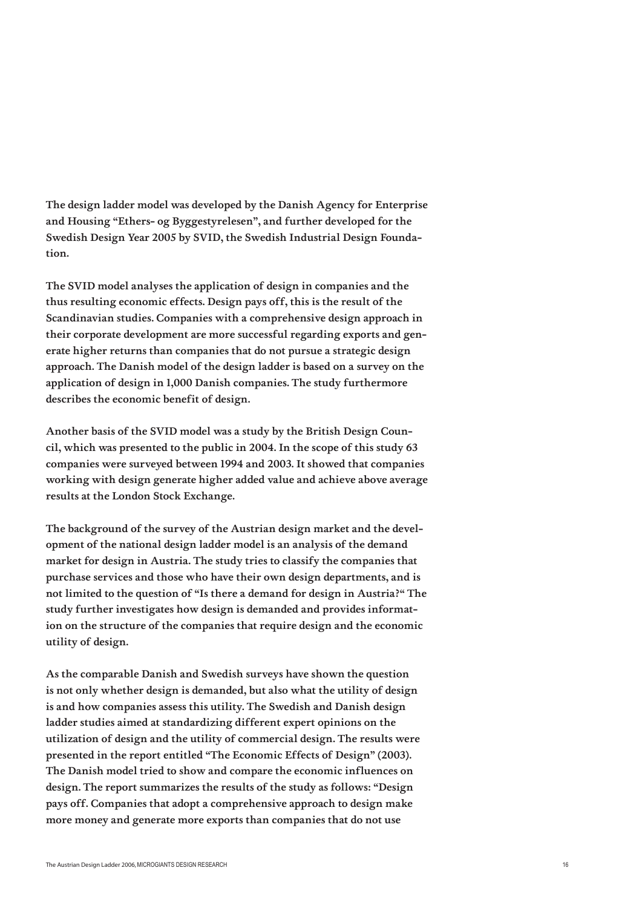The design ladder model was developed by the Danish Agency for Enterprise and Housing "Ethers- og Byggestyrelesen", and further developed for the Swedish Design Year 2005 by SVID, the Swedish Industrial Design Foundation.

The SVID model analyses the application of design in companies and the thus resulting economic effects. Design pays off, this is the result of the Scandinavian studies. Companies with a comprehensive design approach in their corporate development are more successful regarding exports and generate higher returns than companies that do not pursue a strategic design approach. The Danish model of the design ladder is based on a survey on the application of design in 1,000 Danish companies. The study furthermore describes the economic benefit of design.

Another basis of the SVID model was a study by the British Design Council, which was presented to the public in 2004. In the scope of this study 63 companies were surveyed between 1994 and 2003. It showed that companies working with design generate higher added value and achieve above average results at the London Stock Exchange.

The background of the survey of the Austrian design market and the development of the national design ladder model is an analysis of the demand market for design in Austria. The study tries to classify the companies that purchase services and those who have their own design departments, and is not limited to the question of "Is there a demand for design in Austria?" The study further investigates how design is demanded and provides information on the structure of the companies that require design and the economic utility of design.

As the comparable Danish and Swedish surveys have shown the question is not only whether design is demanded, but also what the utility of design is and how companies assess this utility. The Swedish and Danish design ladder studies aimed at standardizing different expert opinions on the utilization of design and the utility of commercial design. The results were presented in the report entitled "The Economic Effects of Design" (2003). The Danish model tried to show and compare the economic influences on design. The report summarizes the results of the study as follows: "Design pays off. Companies that adopt a comprehensive approach to design make more money and generate more exports than companies that do not use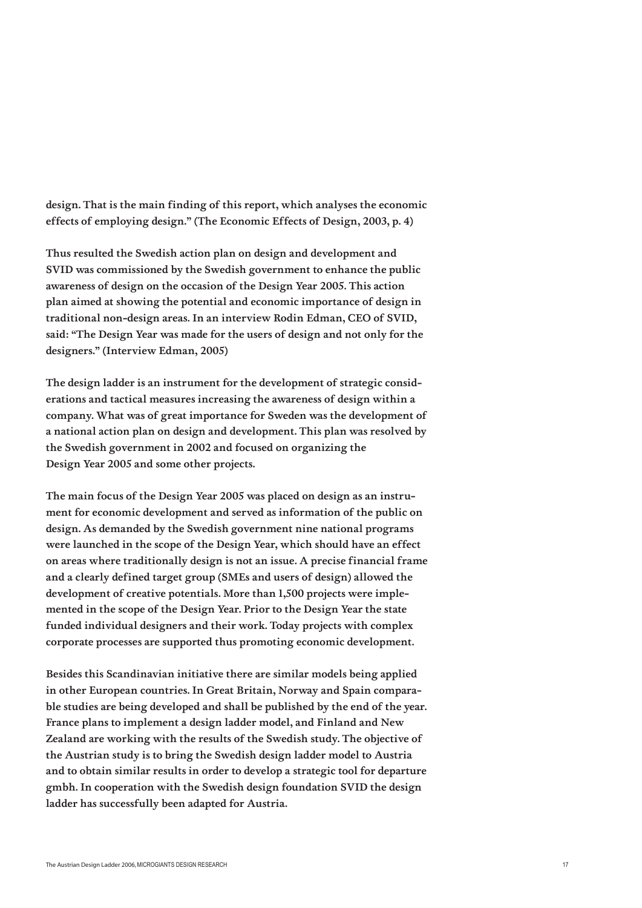design. That is the main finding of this report, which analyses the economic effects of employing design." (The Economic Effects of Design, 2003, p. 4)

Thus resulted the Swedish action plan on design and development and SVID was commissioned by the Swedish government to enhance the public awareness of design on the occasion of the Design Year 2005. This action plan aimed at showing the potential and economic importance of design in traditional non-design areas. In an interview Rodin Edman, CEO of SVID, said: "The Design Year was made for the users of design and not only for the designers." (Interview Edman, 2005)

The design ladder is an instrument for the development of strategic considerations and tactical measures increasing the awareness of design within a company. What was of great importance for Sweden was the development of a national action plan on design and development. This plan was resolved by the Swedish government in 2002 and focused on organizing the Design Year 2005 and some other projects.

The main focus of the Design Year 2005 was placed on design as an instrument for economic development and served as information of the public on design. As demanded by the Swedish government nine national programs were launched in the scope of the Design Year, which should have an effect on areas where traditionally design is not an issue. A precise financial frame and a clearly defined target group (SMEs and users of design) allowed the development of creative potentials. More than 1,500 projects were implemented in the scope of the Design Year. Prior to the Design Year the state funded individual designers and their work. Today projects with complex corporate processes are supported thus promoting economic development.

Besides this Scandinavian initiative there are similar models being applied in other European countries. In Great Britain, Norway and Spain comparable studies are being developed and shall be published by the end of the year. France plans to implement a design ladder model, and Finland and New Zealand are working with the results of the Swedish study. The objective of the Austrian study is to bring the Swedish design ladder model to Austria and to obtain similar results in order to develop a strategic tool for departure gmbh. In cooperation with the Swedish design foundation SVID the design ladder has successfully been adapted for Austria.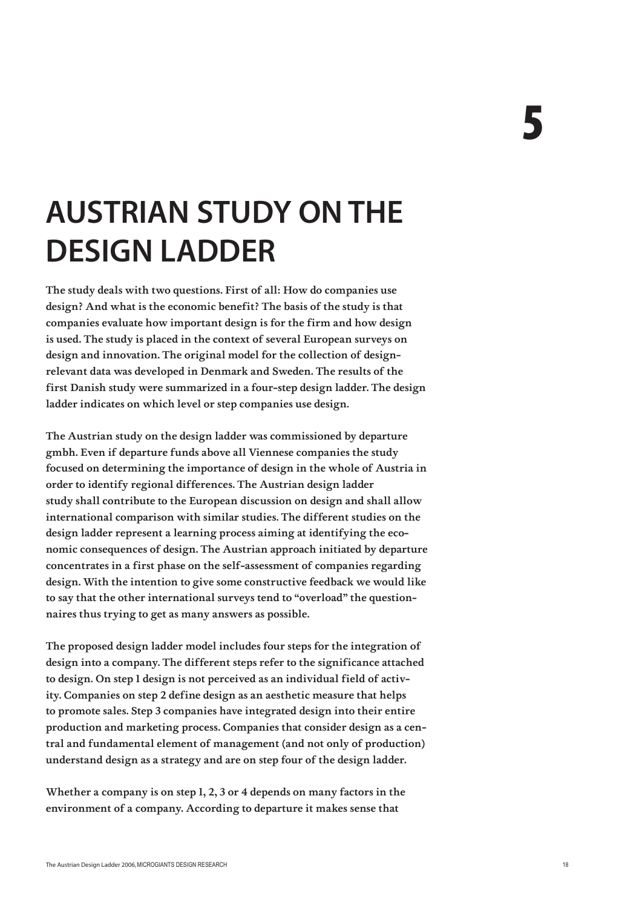## **AUSTRIAN STUDY ON THE DESIGN LADDER**

The study deals with two questions. First of all: How do companies use design? And what is the economic benefit? The basis of the study is that companies evaluate how important design is for the firm and how design is used. The study is placed in the context of several European surveys on design and innovation. The original model for the collection of designrelevant data was developed in Denmark and Sweden. The results of the first Danish study were summarized in a four-step design ladder. The design ladder indicates on which level or step companies use design.

The Austrian study on the design ladder was commissioned by departure gmbh. Even if departure funds above all Viennese companies the study focused on determining the importance of design in the whole of Austria in order to identify regional differences. The Austrian design ladder study shall contribute to the European discussion on design and shall allow international comparison with similar studies. The different studies on the design ladder represent a learning process aiming at identifying the economic consequences of design. The Austrian approach initiated by departure concentrates in a first phase on the self-assessment of companies regarding design. With the intention to give some constructive feedback we would like to say that the other international surveys tend to "overload" the questionnaires thus trying to get as many answers as possible.

The proposed design ladder model includes four steps for the integration of design into a company. The different steps refer to the significance attached to design. On step 1 design is not perceived as an individual field of activity. Companies on step 2 define design as an aesthetic measure that helps to promote sales. Step 3 companies have integrated design into their entire production and marketing process. Companies that consider design as a central and fundamental element of management (and not only of production) understand design as a strategy and are on step four of the design ladder.

Whether a company is on step 1, 2, 3 or 4 depends on many factors in the environment of a company. According to departure it makes sense that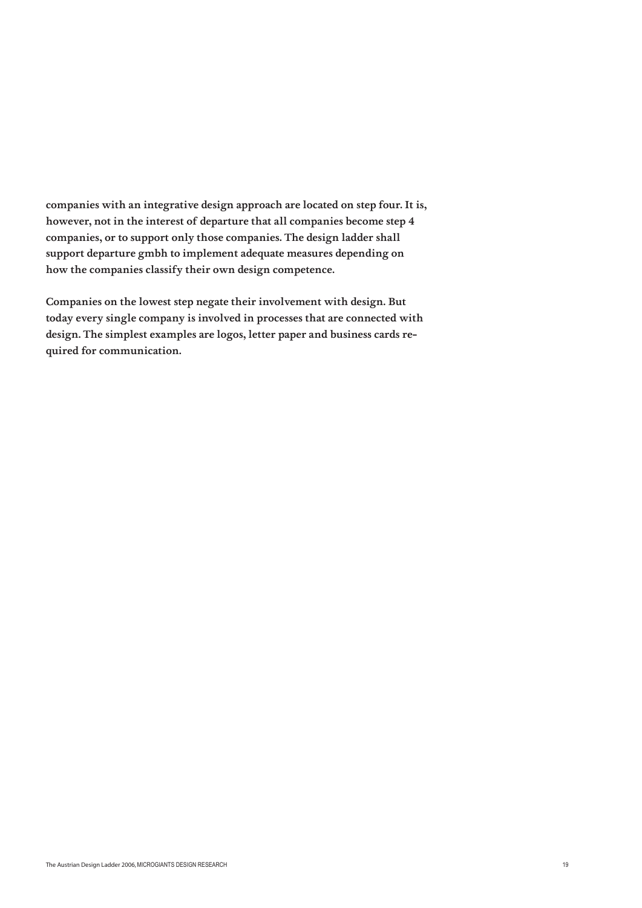companies with an integrative design approach are located on step four. It is, however, not in the interest of departure that all companies become step 4 companies, or to support only those companies. The design ladder shall support departure gmbh to implement adequate measures depending on how the companies classify their own design competence.

Companies on the lowest step negate their involvement with design. But today every single company is involved in processes that are connected with design. The simplest examples are logos, letter paper and business cards required for communication.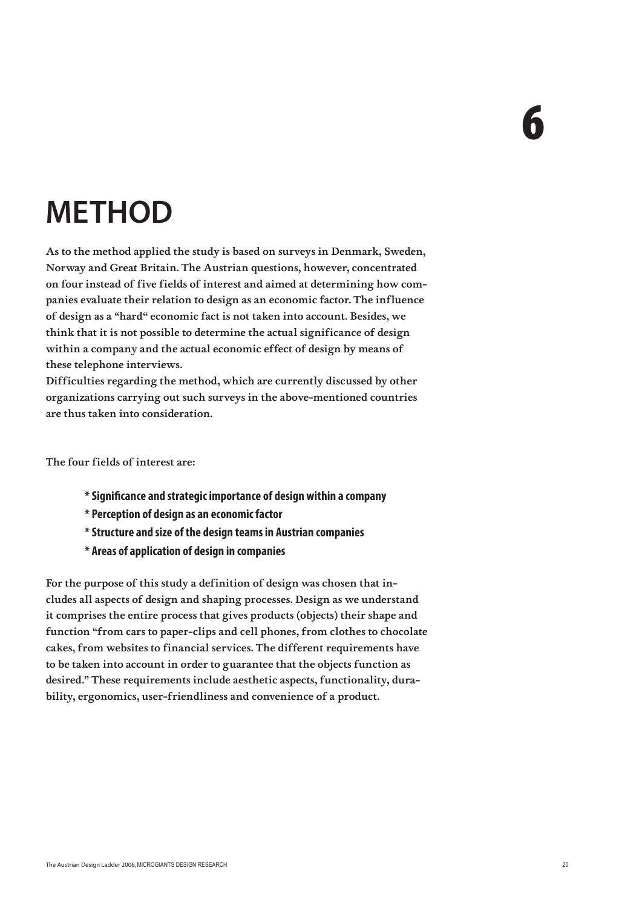# 6

## **METHOD**

As to the method applied the study is based on surveys in Denmark, Sweden, Norway and Great Britain. The Austrian questions, however, concentrated on four instead of five fields of interest and aimed at determining how companies evaluate their relation to design as an economic factor. The influence of design as a "hard" economic fact is not taken into account. Besides, we think that it is not possible to determine the actual significance of design within a company and the actual economic effect of design by means of these telephone interviews.

Difficulties regarding the method, which are currently discussed by other organizations carrying out such surveys in the above-mentioned countries are thus taken into consideration.

The four fields of interest are:

- **\* Signi!cance and strategic importance of design within a company**
- **\* Perception of design as an economic factor**
- **\* Structure and size of the design teams in Austrian companies**
- **\* Areas of application of design in companies**

For the purpose of this study a definition of design was chosen that includes all aspects of design and shaping processes. Design as we understand it comprises the entire process that gives products (objects) their shape and function "from cars to paper-clips and cell phones, from clothes to chocolate cakes, from websites to financial services. The different requirements have to be taken into account in order to guarantee that the objects function as desired." These requirements include aesthetic aspects, functionality, durability, ergonomics, user-friendliness and convenience of a product.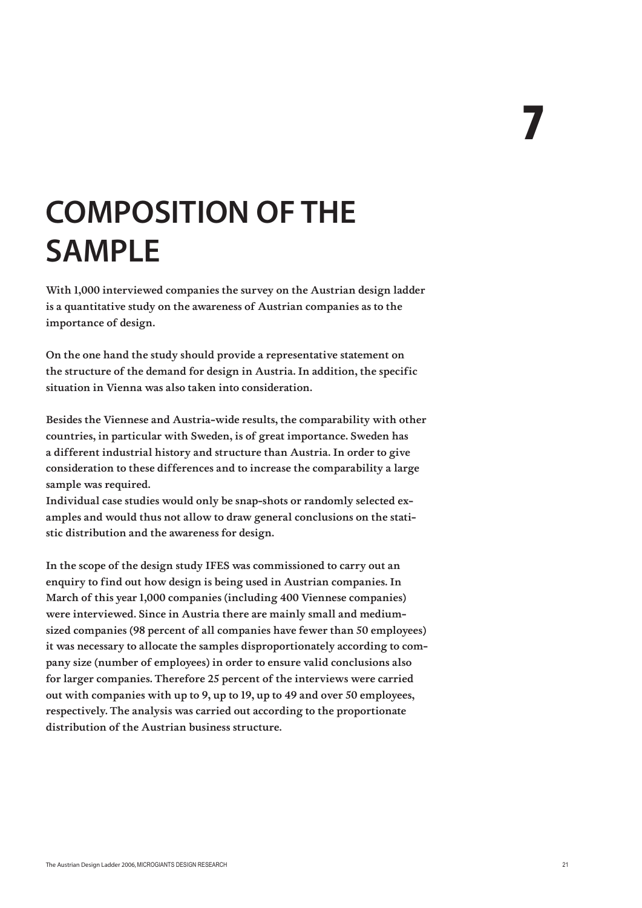## **COMPOSITION OF THE SAMPLE**

With 1,000 interviewed companies the survey on the Austrian design ladder is a quantitative study on the awareness of Austrian companies as to the importance of design.

On the one hand the study should provide a representative statement on the structure of the demand for design in Austria. In addition, the specific situation in Vienna was also taken into consideration.

Besides the Viennese and Austria-wide results, the comparability with other countries, in particular with Sweden, is of great importance. Sweden has a different industrial history and structure than Austria. In order to give consideration to these differences and to increase the comparability a large sample was required.

Individual case studies would only be snap-shots or randomly selected examples and would thus not allow to draw general conclusions on the statistic distribution and the awareness for design.

In the scope of the design study IFES was commissioned to carry out an enquiry to find out how design is being used in Austrian companies. In March of this year 1,000 companies (including 400 Viennese companies) were interviewed. Since in Austria there are mainly small and mediumsized companies (98 percent of all companies have fewer than 50 employees) it was necessary to allocate the samples disproportionately according to company size (number of employees) in order to ensure valid conclusions also for larger companies. Therefore 25 percent of the interviews were carried out with companies with up to 9, up to 19, up to 49 and over 50 employees, respectively. The analysis was carried out according to the proportionate distribution of the Austrian business structure.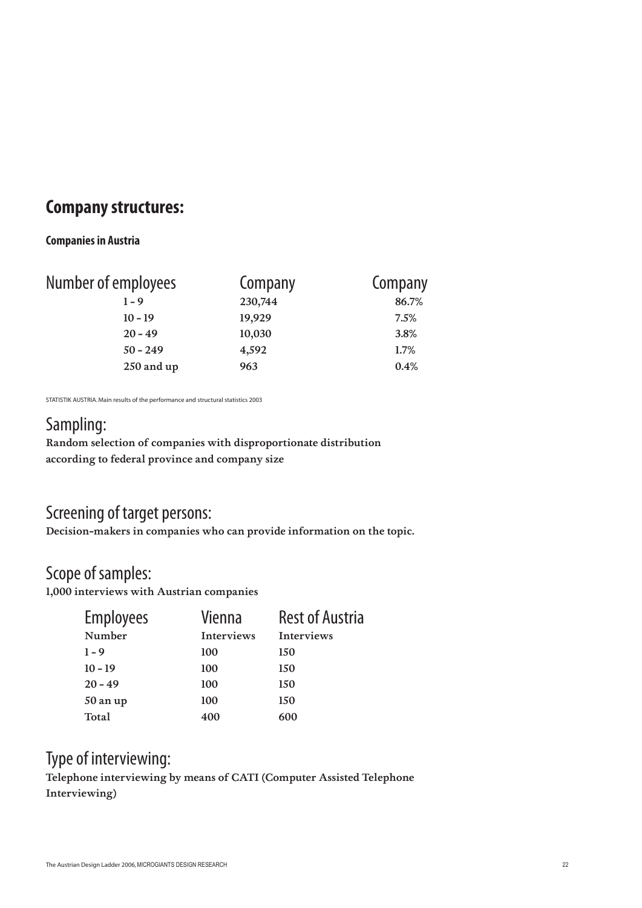#### **Company structures:**

#### **Companies in Austria**

| Number of employees | Company | Company |  |
|---------------------|---------|---------|--|
| $1 - 9$             | 230,744 | 86.7%   |  |
| $10 - 19$           | 19,929  | 7.5%    |  |
| $20 - 49$           | 10,030  | 3.8%    |  |
| $50 - 249$          | 4,592   | 1.7%    |  |
| 250 and up          | 963     | 0.4%    |  |

STATISTIK AUSTRIA. Main results of the performance and structural statistics 2003

### Sampling:

Random selection of companies with disproportionate distribution according to federal province and company size

#### Screening of target persons:

Decision-makers in companies who can provide information on the topic.

#### Scope of samples:

1,000 interviews with Austrian companies

| <b>Employees</b> | Vienna            | <b>Rest of Austria</b> |
|------------------|-------------------|------------------------|
| Number           | <b>Interviews</b> | <b>Interviews</b>      |
| $1 - 9$          | 100               | 150                    |
| $10 - 19$        | 100               | 150                    |
| $20 - 49$        | 100               | 150                    |
| 50 an up         | 100               | 150                    |
| Total            | 400               | 600                    |

#### Type of interviewing:

Telephone interviewing by means of CATI (Computer Assisted Telephone Interviewing)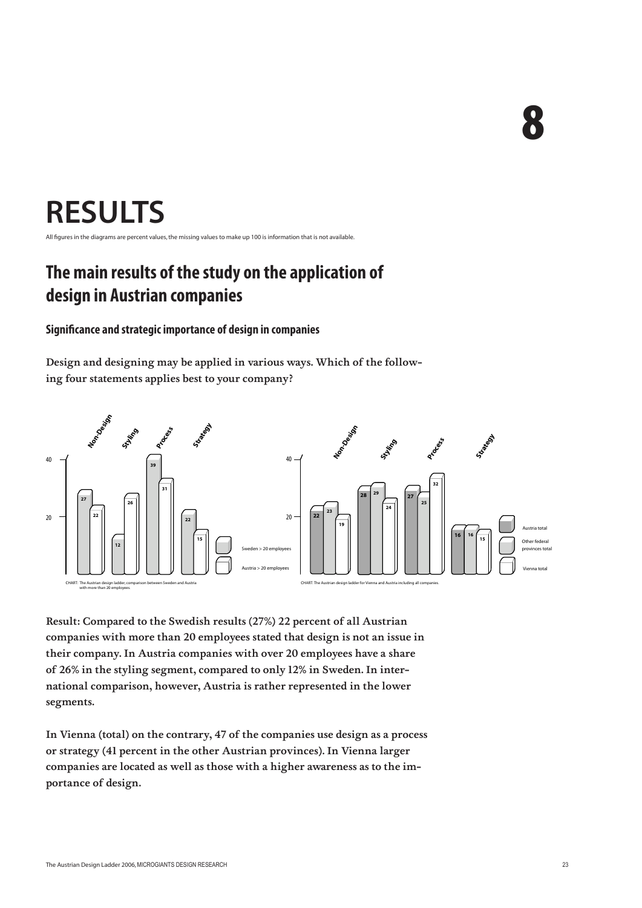8

## **RESULTS**

All figures in the diagrams are percent values, the missing values to make up 100 is information that is not available.

## **The main results of the study on the application of design in Austrian companies**

#### **Significance and strategic importance of design in companies**

Design and designing may be applied in various ways. Which of the following four statements applies best to your company?



Result: Compared to the Swedish results (27%) 22 percent of all Austrian companies with more than 20 employees stated that design is not an issue in their company. In Austria companies with over 20 employees have a share of 26% in the styling segment, compared to only 12% in Sweden. In international comparison, however, Austria is rather represented in the lower segments.

In Vienna (total) on the contrary, 47 of the companies use design as a process or strategy (41 percent in the other Austrian provinces). In Vienna larger companies are located as well as those with a higher awareness as to the importance of design.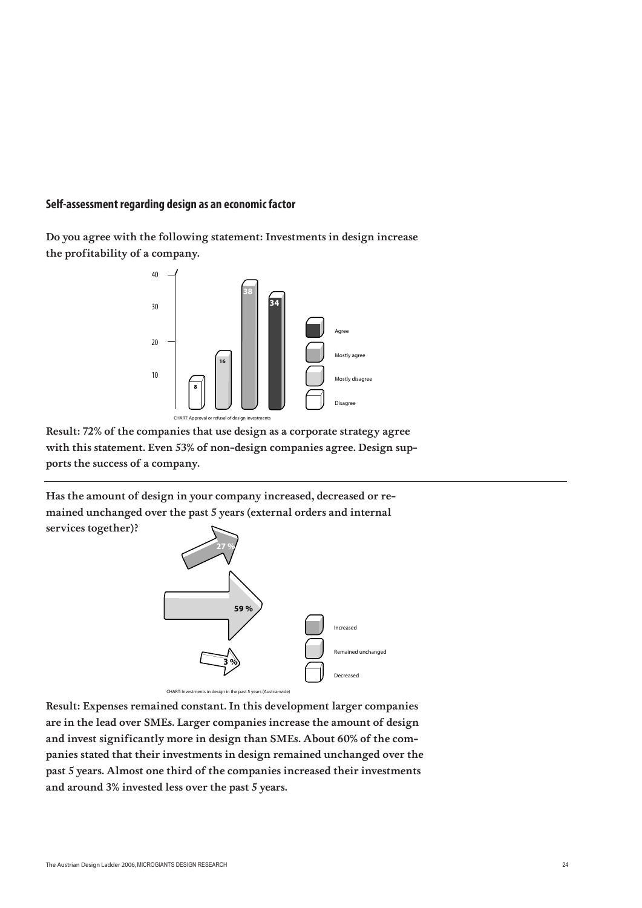#### **Self-assessment regarding design as an economic factor**

Do you agree with the following statement: Investments in design increase the profitability of a company.



Result: 72% of the companies that use design as a corporate strategy agree with this statement. Even 53% of non-design companies agree. Design supports the success of a company.

Has the amount of design in your company increased, decreased or remained unchanged over the past 5 years (external orders and internal services together)?



CHART: Investments in design in the past 5 years (Au

Result: Expenses remained constant. In this development larger companies are in the lead over SMEs. Larger companies increase the amount of design and invest significantly more in design than SMEs. About 60% of the companies stated that their investments in design remained unchanged over the past 5 years. Almost one third of the companies increased their investments and around 3% invested less over the past 5 years.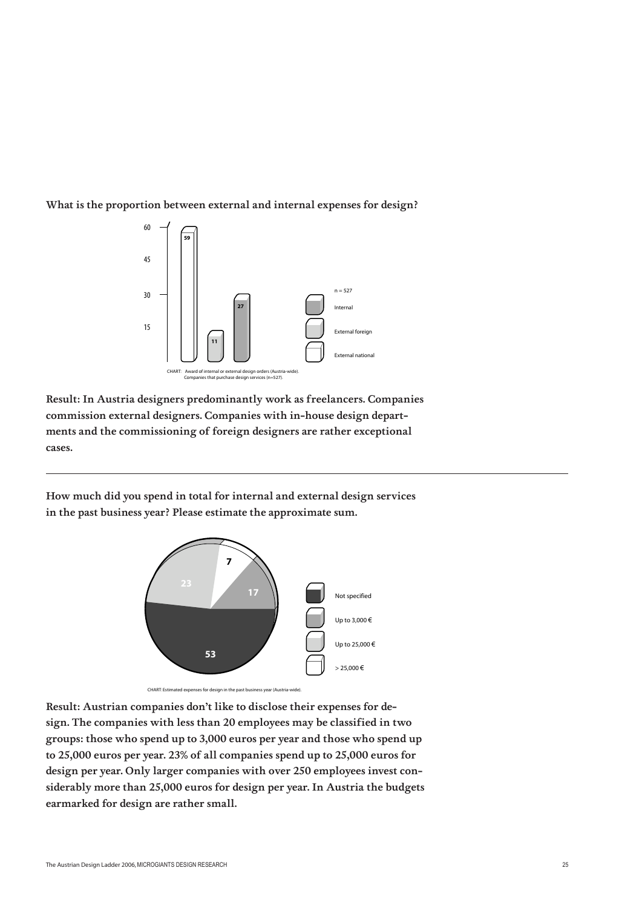



Result: In Austria designers predominantly work as freelancers. Companies commission external designers. Companies with in-house design departments and the commissioning of foreign designers are rather exceptional cases.

How much did you spend in total for internal and external design services in the past business year? Please estimate the approximate sum.



CHART: Estimated expenses for design in the past business year (Aust

Result: Austrian companies don't like to disclose their expenses for design. The companies with less than 20 employees may be classified in two groups: those who spend up to 3,000 euros per year and those who spend up to 25,000 euros per year. 23% of all companies spend up to 25,000 euros for design per year. Only larger companies with over 250 employees invest considerably more than 25,000 euros for design per year. In Austria the budgets earmarked for design are rather small.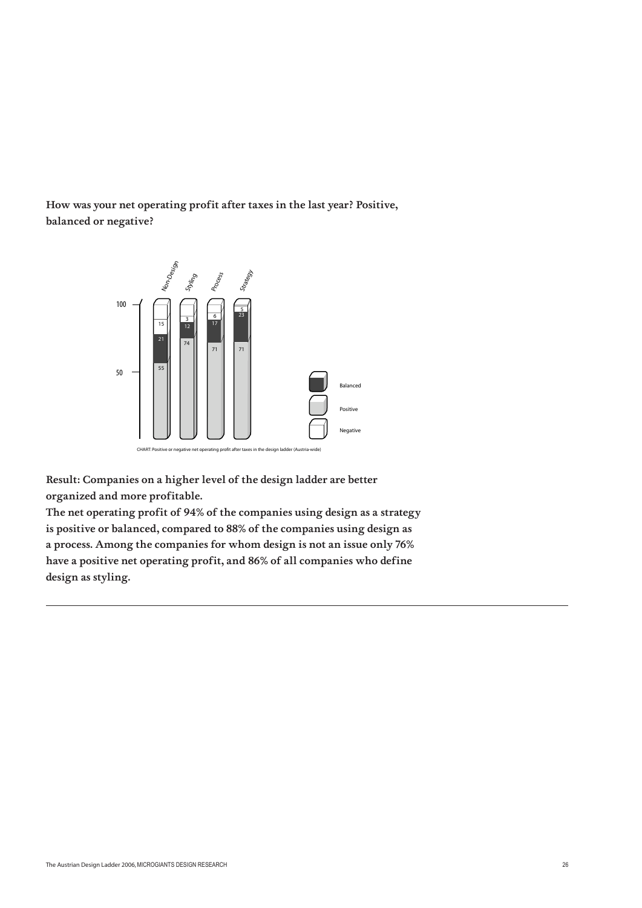How was your net operating profit after taxes in the last year? Positive, balanced or negative?



Result: Companies on a higher level of the design ladder are better organized and more profitable.

The net operating profit of 94% of the companies using design as a strategy is positive or balanced, compared to 88% of the companies using design as a process. Among the companies for whom design is not an issue only 76% have a positive net operating profit, and 86% of all companies who define design as styling.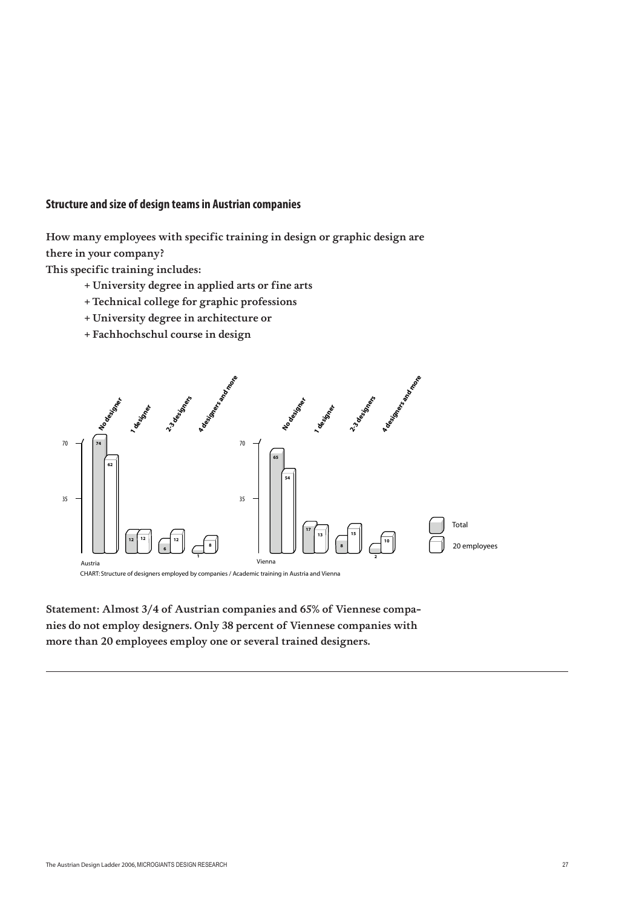#### **Structure and size of design teams in Austrian companies**

How many employees with specific training in design or graphic design are there in your company?

This specific training includes:

- + University degree in applied arts or fine arts
- + Technical college for graphic professions
- + University degree in architecture or
- + Fachhochschul course in design



Statement: Almost 3/4 of Austrian companies and 65% of Viennese companies do not employ designers. Only 38 percent of Viennese companies with more than 20 employees employ one or several trained designers.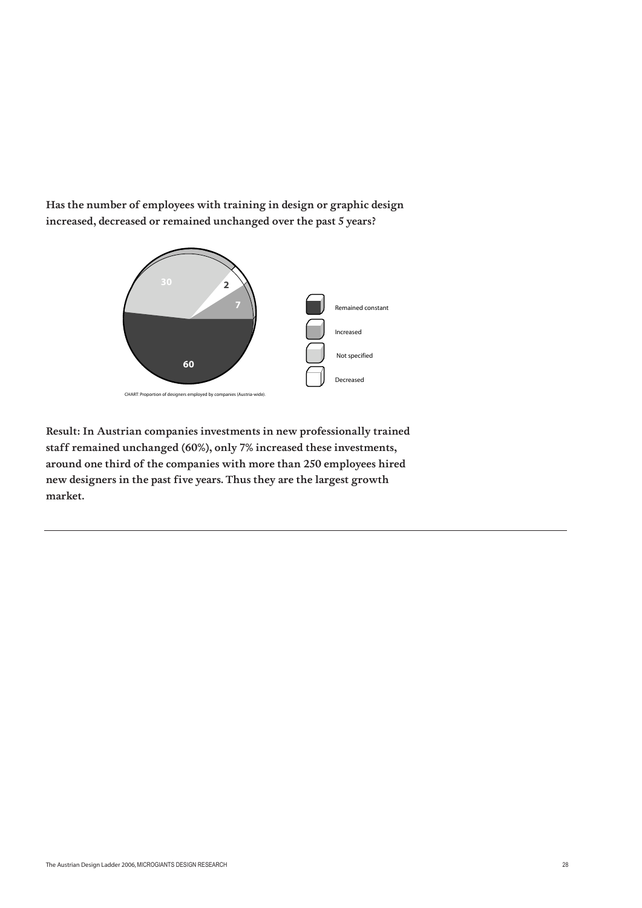Has the number of employees with training in design or graphic design increased, decreased or remained unchanged over the past 5 years?



Result: In Austrian companies investments in new professionally trained staff remained unchanged (60%), only 7% increased these investments, around one third of the companies with more than 250 employees hired new designers in the past five years. Thus they are the largest growth market.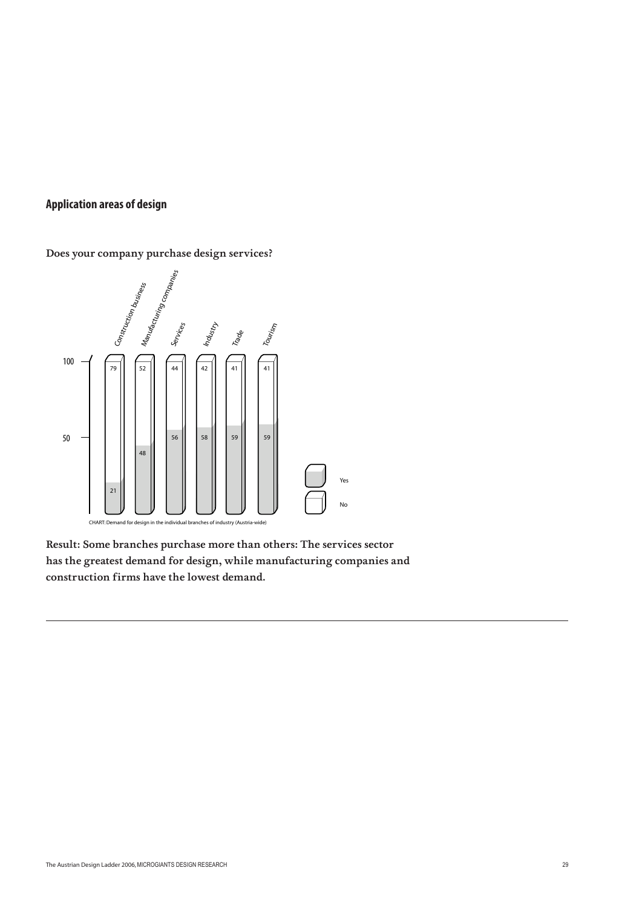#### **Application areas of design**

Does your company purchase design services?



Result: Some branches purchase more than others: The services sector has the greatest demand for design, while manufacturing companies and construction firms have the lowest demand.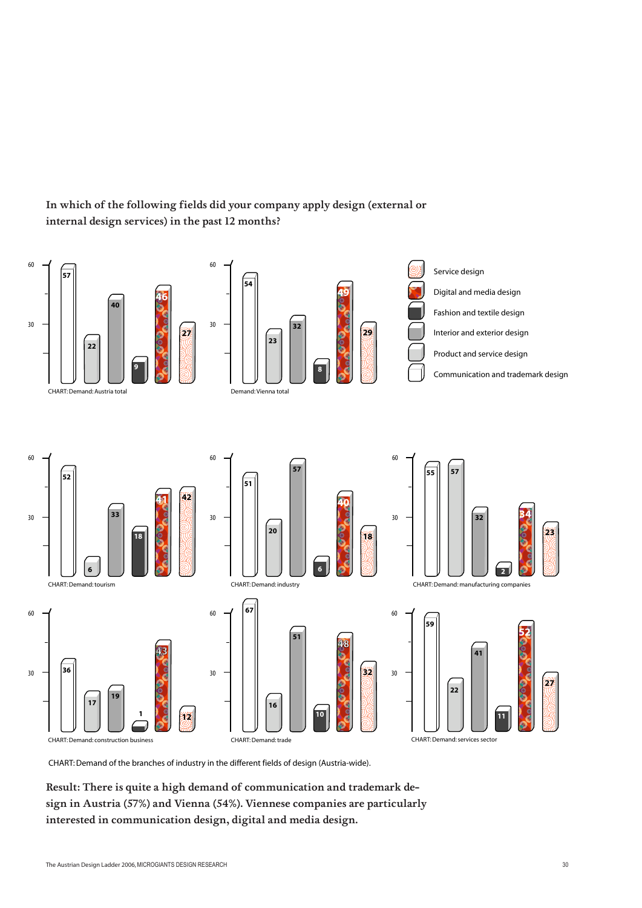

#### In which of the following fields did your company apply design (external or internal design services) in the past 12 months?

CHART: Demand of the branches of industry in the different fields of design (Austria-wide).

Result: There is quite a high demand of communication and trademark design in Austria (57%) and Vienna (54%). Viennese companies are particularly interested in communication design, digital and media design.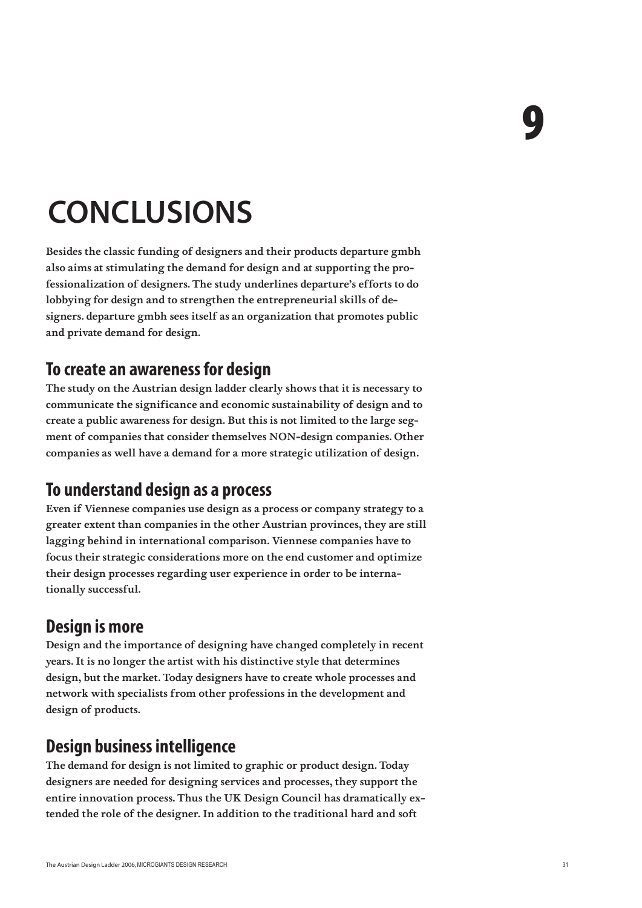## **CONCLUSIONS**

Besides the classic funding of designers and their products departure gmbh also aims at stimulating the demand for design and at supporting the professionalization of designers. The study underlines departure's efforts to do lobbying for design and to strengthen the entrepreneurial skills of designers. departure gmbh sees itself as an organization that promotes public and private demand for design.

#### **To create an awareness for design**

The study on the Austrian design ladder clearly shows that it is necessary to communicate the significance and economic sustainability of design and to create a public awareness for design. But this is not limited to the large segment of companies that consider themselves NON-design companies. Other companies as well have a demand for a more strategic utilization of design.

### **To understand design as a process**

Even if Viennese companies use design as a process or company strategy to a greater extent than companies in the other Austrian provinces, they are still lagging behind in international comparison. Viennese companies have to focus their strategic considerations more on the end customer and optimize their design processes regarding user experience in order to be internationally successful.

### **Design is more**

Design and the importance of designing have changed completely in recent years. It is no longer the artist with his distinctive style that determines design, but the market. Today designers have to create whole processes and network with specialists from other professions in the development and design of products.

### **Design business intelligence**

The demand for design is not limited to graphic or product design. Today designers are needed for designing services and processes, they support the entire innovation process. Thus the UK Design Council has dramatically extended the role of the designer. In addition to the traditional hard and soft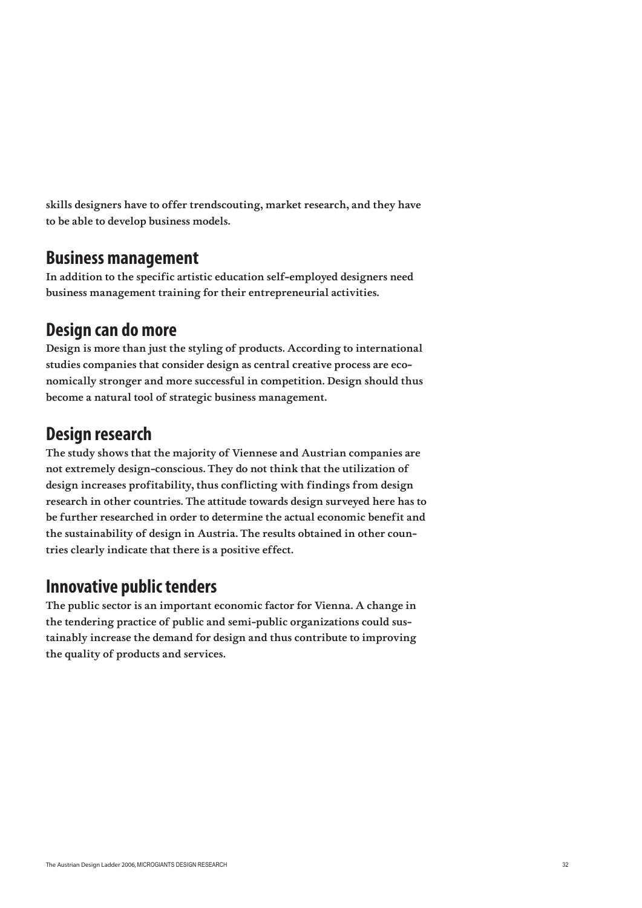skills designers have to offer trendscouting, market research, and they have to be able to develop business models.

#### **Business management**

In addition to the specific artistic education self-employed designers need business management training for their entrepreneurial activities.

#### **Design can do more**

Design is more than just the styling of products. According to international studies companies that consider design as central creative process are economically stronger and more successful in competition. Design should thus become a natural tool of strategic business management.

### **Design research**

The study shows that the majority of Viennese and Austrian companies are not extremely design-conscious. They do not think that the utilization of design increases profitability, thus conflicting with findings from design research in other countries. The attitude towards design surveyed here has to be further researched in order to determine the actual economic benefit and the sustainability of design in Austria. The results obtained in other countries clearly indicate that there is a positive effect.

### **Innovative public tenders**

The public sector is an important economic factor for Vienna. A change in the tendering practice of public and semi-public organizations could sustainably increase the demand for design and thus contribute to improving the quality of products and services.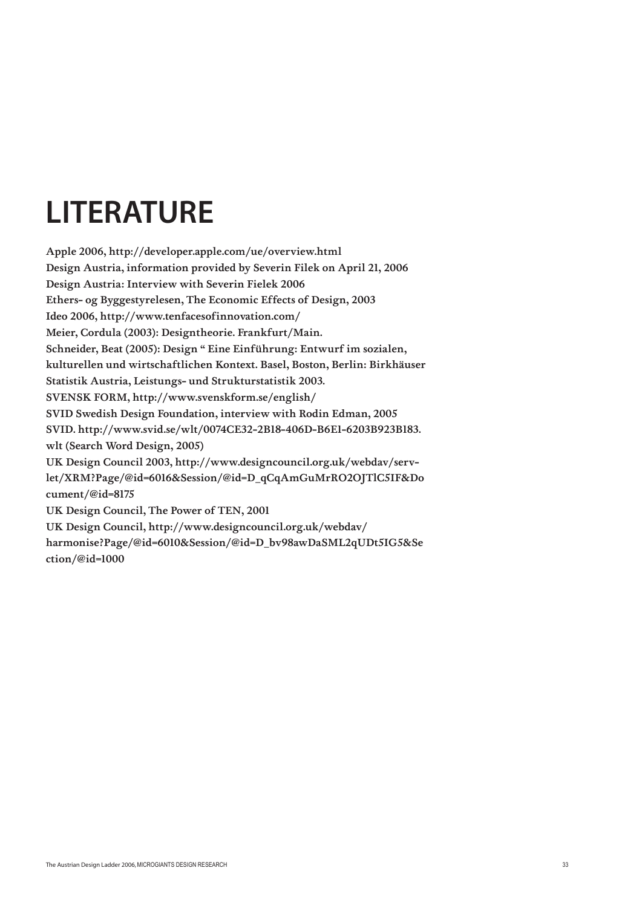## **LITERATURE**

Apple 2006, http://developer.apple.com/ue/overview.html Design Austria, information provided by Severin Filek on April 21, 2006 Design Austria: Interview with Severin Fielek 2006 Ethers- og Byggestyrelesen, The Economic Effects of Design, 2003 Ideo 2006, http://www.tenfacesofinnovation.com/ Meier, Cordula (2003): Designtheorie. Frankfurt/Main. Schneider, Beat (2005): Design " Eine Einführung: Entwurf im sozialen, kulturellen und wirtschaftlichen Kontext. Basel, Boston, Berlin: Birkhäuser Statistik Austria, Leistungs- und Strukturstatistik 2003. SVENSK FORM, http://www.svenskform.se/english/ SVID Swedish Design Foundation, interview with Rodin Edman, 2005 SVID. http://www.svid.se/wlt/0074CE32-2B18-406D-B6E1-6203B923B183. wlt (Search Word Design, 2005) UK Design Council 2003, http://www.designcouncil.org.uk/webdav/servlet/XRM?Page/@id=6016&Session/@id=D\_qCqAmGuMrRO2OJTlC5IF&Do cument/@id=8175 UK Design Council, The Power of TEN, 2001 UK Design Council, http://www.designcouncil.org.uk/webdav/ harmonise?Page/@id=6010&Session/@id=D\_bv98awDaSML2qUDt5IG5&Se ction/@id=1000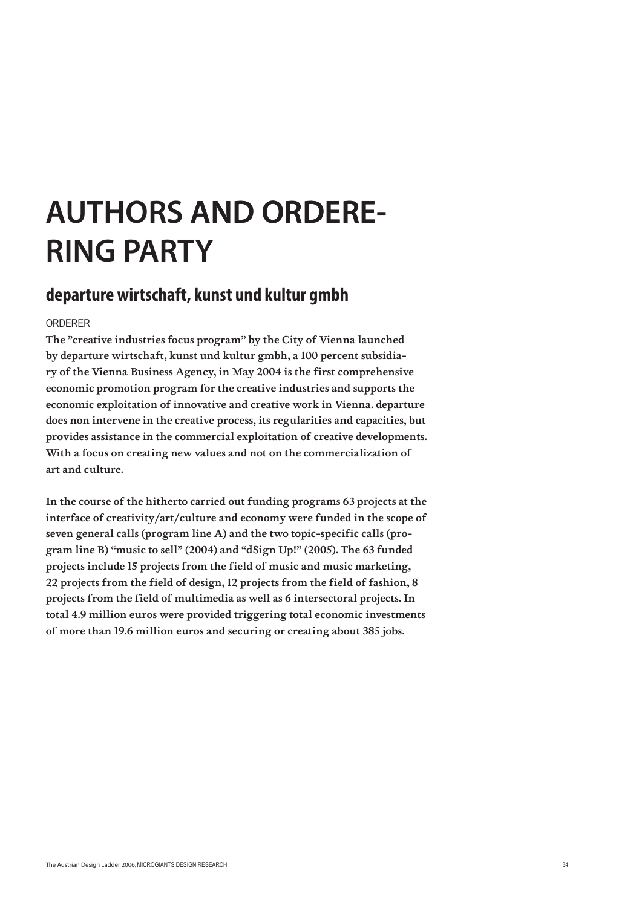## **AUTHORS AND ORDERE-RING PARTY**

#### **departure wirtschaft, kunst und kultur gmbh**

#### ORDERER

The "creative industries focus program" by the City of Vienna launched by departure wirtschaft, kunst und kultur gmbh, a 100 percent subsidiary of the Vienna Business Agency, in May 2004 is the first comprehensive economic promotion program for the creative industries and supports the economic exploitation of innovative and creative work in Vienna. departure does non intervene in the creative process, its regularities and capacities, but provides assistance in the commercial exploitation of creative developments. With a focus on creating new values and not on the commercialization of art and culture.

In the course of the hitherto carried out funding programs 63 projects at the interface of creativity/art/culture and economy were funded in the scope of seven general calls (program line A) and the two topic-specific calls (program line B) "music to sell" (2004) and "dSign Up!" (2005). The 63 funded projects include 15 projects from the field of music and music marketing, 22 projects from the field of design, 12 projects from the field of fashion, 8 projects from the field of multimedia as well as 6 intersectoral projects. In total 4.9 million euros were provided triggering total economic investments of more than 19.6 million euros and securing or creating about 385 jobs.